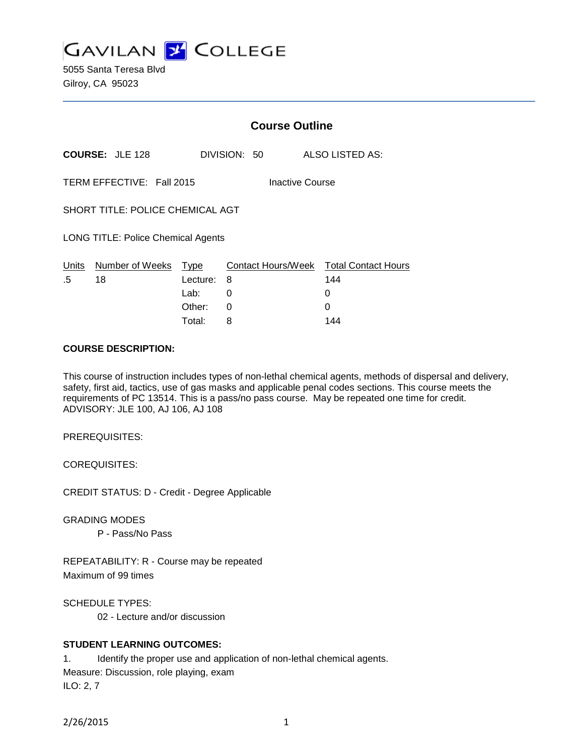**GAVILAN J COLLEGE** 

5055 Santa Teresa Blvd Gilroy, CA 95023

|                                              |                        | <b>Course Outline</b>              |              |   |                                               |
|----------------------------------------------|------------------------|------------------------------------|--------------|---|-----------------------------------------------|
|                                              | <b>COURSE: JLE 128</b> |                                    | DIVISION: 50 |   | ALSO LISTED AS:                               |
| TERM EFFECTIVE: Fall 2015<br>Inactive Course |                        |                                    |              |   |                                               |
| SHORT TITLE: POLICE CHEMICAL AGT             |                        |                                    |              |   |                                               |
| <b>LONG TITLE: Police Chemical Agents</b>    |                        |                                    |              |   |                                               |
| Units<br>.5                                  | Number of Weeks<br>18  | Type<br>Lecture:<br>Lab:<br>Other: | 8<br>0<br>0  | 0 | Contact Hours/Week Total Contact Hours<br>144 |
|                                              |                        |                                    |              |   |                                               |

#### **COURSE DESCRIPTION:**

This course of instruction includes types of non-lethal chemical agents, methods of dispersal and delivery, safety, first aid, tactics, use of gas masks and applicable penal codes sections. This course meets the requirements of PC 13514. This is a pass/no pass course. May be repeated one time for credit. ADVISORY: JLE 100, AJ 106, AJ 108

Total: 8 144

PREREQUISITES:

COREQUISITES:

CREDIT STATUS: D - Credit - Degree Applicable

GRADING MODES

P - Pass/No Pass

REPEATABILITY: R - Course may be repeated Maximum of 99 times

SCHEDULE TYPES:

02 - Lecture and/or discussion

### **STUDENT LEARNING OUTCOMES:**

1. Identify the proper use and application of non-lethal chemical agents. Measure: Discussion, role playing, exam ILO: 2, 7

2/26/2015 1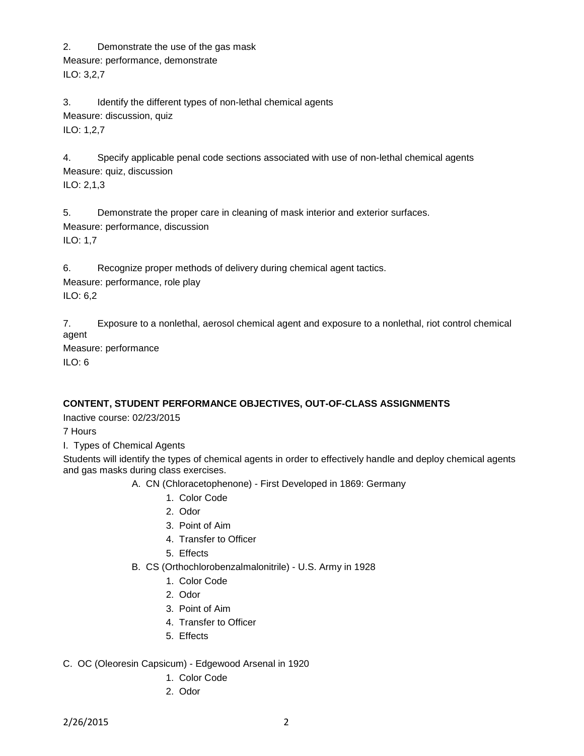2. Demonstrate the use of the gas mask

Measure: performance, demonstrate

ILO: 3,2,7

3. Identify the different types of non-lethal chemical agents Measure: discussion, quiz ILO: 1,2,7

4. Specify applicable penal code sections associated with use of non-lethal chemical agents Measure: quiz, discussion ILO: 2,1,3

5. Demonstrate the proper care in cleaning of mask interior and exterior surfaces. Measure: performance, discussion ILO: 1,7

6. Recognize proper methods of delivery during chemical agent tactics.

Measure: performance, role play ILO: 6,2

7. Exposure to a nonlethal, aerosol chemical agent and exposure to a nonlethal, riot control chemical agent

Measure: performance

ILO: 6

# **CONTENT, STUDENT PERFORMANCE OBJECTIVES, OUT-OF-CLASS ASSIGNMENTS**

Inactive course: 02/23/2015

7 Hours

I. Types of Chemical Agents

Students will identify the types of chemical agents in order to effectively handle and deploy chemical agents and gas masks during class exercises.

- A. CN (Chloracetophenone) First Developed in 1869: Germany
	- 1. Color Code
	- 2. Odor
	- 3. Point of Aim
	- 4. Transfer to Officer
	- 5. Effects
- B. CS (Orthochlorobenzalmalonitrile) U.S. Army in 1928
	- 1. Color Code
	- 2. Odor
	- 3. Point of Aim
	- 4. Transfer to Officer
	- 5. Effects

## C. OC (Oleoresin Capsicum) - Edgewood Arsenal in 1920

- 1. Color Code
- 2. Odor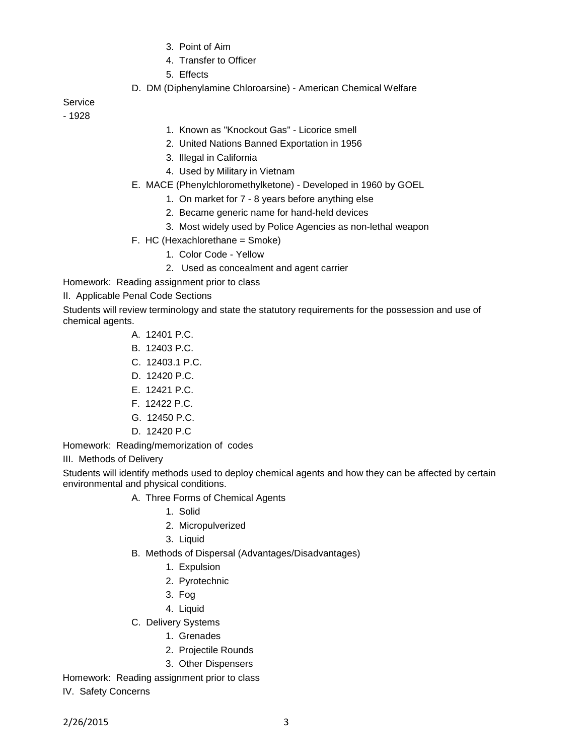- 3. Point of Aim
- 4. Transfer to Officer
- 5. Effects
- D. DM (Diphenylamine Chloroarsine) American Chemical Welfare

**Service** 

- 1928

- 1. Known as "Knockout Gas" Licorice smell
- 2. United Nations Banned Exportation in 1956
- 3. Illegal in California
- 4. Used by Military in Vietnam
- E. MACE (Phenylchloromethylketone) Developed in 1960 by GOEL
	- 1. On market for 7 8 years before anything else
	- 2. Became generic name for hand-held devices
	- 3. Most widely used by Police Agencies as non-lethal weapon
- F. HC (Hexachlorethane = Smoke)
	- 1. Color Code Yellow
	- 2. Used as concealment and agent carrier
- Homework: Reading assignment prior to class

II. Applicable Penal Code Sections

Students will review terminology and state the statutory requirements for the possession and use of chemical agents.

- A. 12401 P.C.
- B. 12403 P.C.
- C. 12403.1 P.C.
- D. 12420 P.C.
- E. 12421 P.C.
- F. 12422 P.C.
- G. 12450 P.C.
- D. 12420 P.C

Homework: Reading/memorization of codes

III. Methods of Delivery

Students will identify methods used to deploy chemical agents and how they can be affected by certain environmental and physical conditions.

- A. Three Forms of Chemical Agents
	- 1. Solid
	- 2. Micropulverized
	- 3. Liquid
- B. Methods of Dispersal (Advantages/Disadvantages)
	- 1. Expulsion
	- 2. Pyrotechnic
	- 3. Fog
	- 4. Liquid
- C. Delivery Systems
	- 1. Grenades
	- 2. Projectile Rounds
	- 3. Other Dispensers

Homework: Reading assignment prior to class

IV. Safety Concerns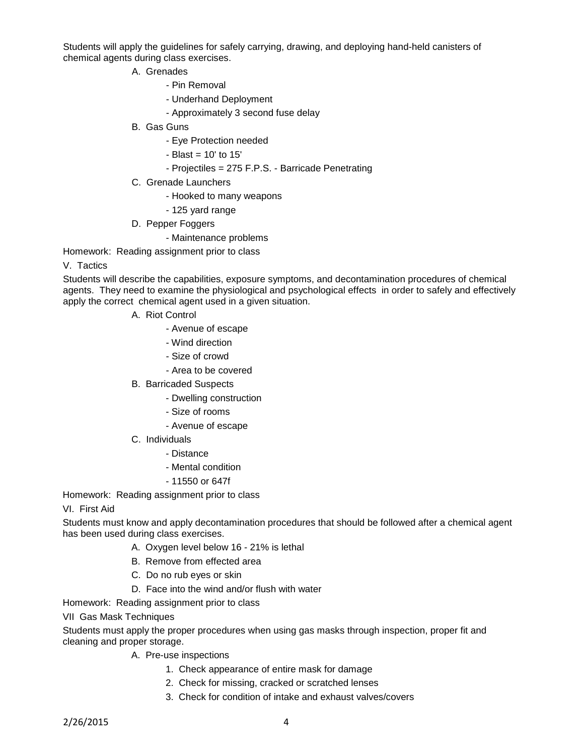Students will apply the guidelines for safely carrying, drawing, and deploying hand-held canisters of chemical agents during class exercises.

- A. Grenades
	- Pin Removal
	- Underhand Deployment
	- Approximately 3 second fuse delay
- B. Gas Guns
	- Eye Protection needed
	- Blast = 10' to 15'
	- Projectiles = 275 F.P.S. Barricade Penetrating
- C. Grenade Launchers
	- Hooked to many weapons
	- 125 yard range
- D. Pepper Foggers
	- Maintenance problems

Homework: Reading assignment prior to class

#### V. Tactics

Students will describe the capabilities, exposure symptoms, and decontamination procedures of chemical agents. They need to examine the physiological and psychological effects in order to safely and effectively apply the correct chemical agent used in a given situation.

- A. Riot Control
	- Avenue of escape
	- Wind direction
	- Size of crowd
	- Area to be covered
- B. Barricaded Suspects
	- Dwelling construction
	- Size of rooms
	- Avenue of escape
- C. Individuals
	- Distance
	- Mental condition
	- 11550 or 647f

Homework: Reading assignment prior to class

#### VI. First Aid

Students must know and apply decontamination procedures that should be followed after a chemical agent has been used during class exercises.

- A. Oxygen level below 16 21% is lethal
- B. Remove from effected area
- C. Do no rub eyes or skin
- D. Face into the wind and/or flush with water

Homework: Reading assignment prior to class

VII Gas Mask Techniques

Students must apply the proper procedures when using gas masks through inspection, proper fit and cleaning and proper storage.

- A. Pre-use inspections
	- 1. Check appearance of entire mask for damage
	- 2. Check for missing, cracked or scratched lenses
	- 3. Check for condition of intake and exhaust valves/covers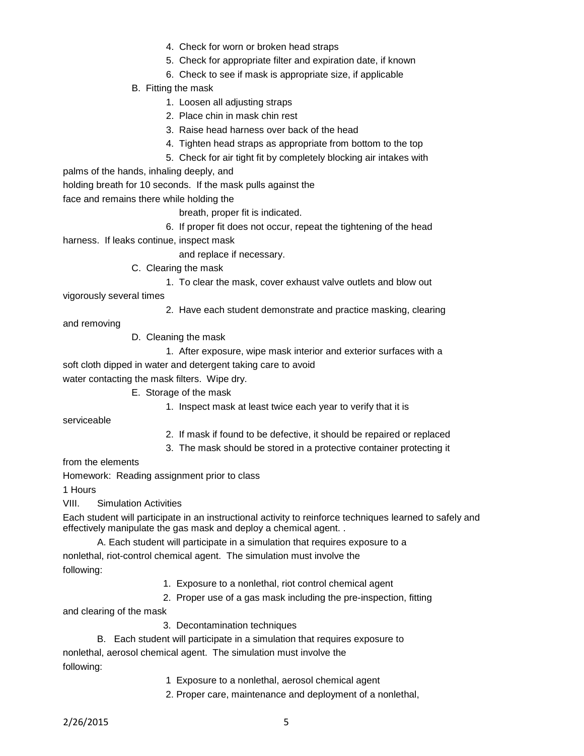- 4. Check for worn or broken head straps
- 5. Check for appropriate filter and expiration date, if known
- 6. Check to see if mask is appropriate size, if applicable
- B. Fitting the mask
	- 1. Loosen all adjusting straps
	- 2. Place chin in mask chin rest
	- 3. Raise head harness over back of the head
	- 4. Tighten head straps as appropriate from bottom to the top
	- 5. Check for air tight fit by completely blocking air intakes with

palms of the hands, inhaling deeply, and

holding breath for 10 seconds. If the mask pulls against the

face and remains there while holding the

breath, proper fit is indicated.

6. If proper fit does not occur, repeat the tightening of the head

harness. If leaks continue, inspect mask

and replace if necessary.

C. Clearing the mask

1. To clear the mask, cover exhaust valve outlets and blow out

vigorously several times

2. Have each student demonstrate and practice masking, clearing

and removing

D. Cleaning the mask

1. After exposure, wipe mask interior and exterior surfaces with a

soft cloth dipped in water and detergent taking care to avoid

water contacting the mask filters. Wipe dry.

- E. Storage of the mask
	- 1. Inspect mask at least twice each year to verify that it is

serviceable

- 2. If mask if found to be defective, it should be repaired or replaced
- 3. The mask should be stored in a protective container protecting it

from the elements

Homework: Reading assignment prior to class

1 Hours

VIII. Simulation Activities

Each student will participate in an instructional activity to reinforce techniques learned to safely and effectively manipulate the gas mask and deploy a chemical agent. .

- A. Each student will participate in a simulation that requires exposure to a nonlethal, riot-control chemical agent. The simulation must involve the following:
	- 1. Exposure to a nonlethal, riot control chemical agent
	- 2. Proper use of a gas mask including the pre-inspection, fitting

and clearing of the mask

- 3. Decontamination techniques
- B. Each student will participate in a simulation that requires exposure to

nonlethal, aerosol chemical agent. The simulation must involve the following:

- 1 Exposure to a nonlethal, aerosol chemical agent
- 2. Proper care, maintenance and deployment of a nonlethal,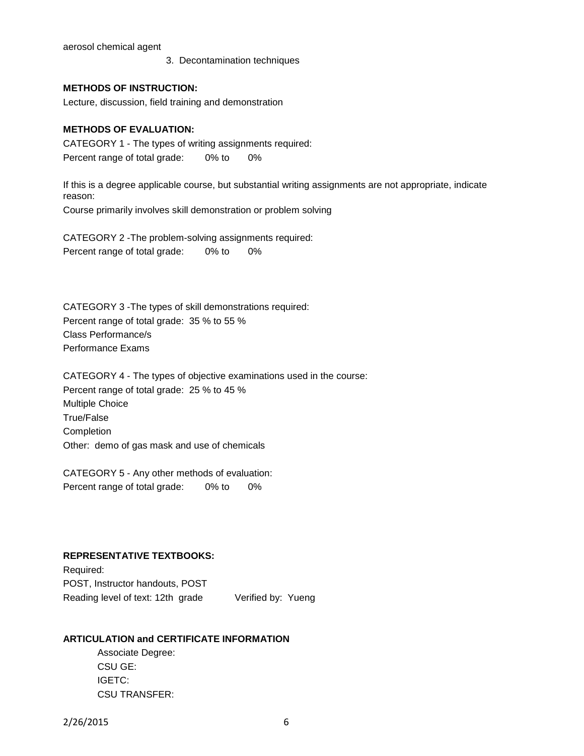aerosol chemical agent

3. Decontamination techniques

#### **METHODS OF INSTRUCTION:**

Lecture, discussion, field training and demonstration

#### **METHODS OF EVALUATION:**

CATEGORY 1 - The types of writing assignments required: Percent range of total grade: 0% to 0%

If this is a degree applicable course, but substantial writing assignments are not appropriate, indicate reason: Course primarily involves skill demonstration or problem solving

CATEGORY 2 -The problem-solving assignments required: Percent range of total grade: 0% to 0%

CATEGORY 3 -The types of skill demonstrations required: Percent range of total grade: 35 % to 55 % Class Performance/s Performance Exams

CATEGORY 4 - The types of objective examinations used in the course: Percent range of total grade: 25 % to 45 % Multiple Choice True/False Completion Other: demo of gas mask and use of chemicals

CATEGORY 5 - Any other methods of evaluation: Percent range of total grade: 0% to 0%

#### **REPRESENTATIVE TEXTBOOKS:**

Required: POST, Instructor handouts, POST Reading level of text: 12th grade Verified by: Yueng

#### **ARTICULATION and CERTIFICATE INFORMATION**

Associate Degree: CSU GE: IGETC: CSU TRANSFER: